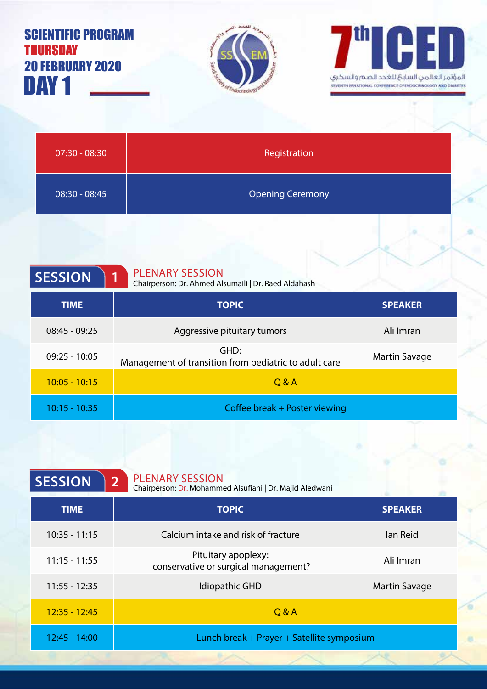| <b>SCIENTIFIC PROGRAM</b><br>Thursday<br><b>20 FEBRUARY 2020</b><br>DAY <sub>1</sub> | <b>Construction of Endocrandor</b>                                                  | H<br>المؤثمر العالمن السابح للغدد الصم والسكرى<br>SEVENTH ERNATIONAL CONFERENCE OF ENDOCRINOLOGY AND DIABETE |
|--------------------------------------------------------------------------------------|-------------------------------------------------------------------------------------|--------------------------------------------------------------------------------------------------------------|
| $07:30 - 08:30$                                                                      | Registration                                                                        |                                                                                                              |
| $08:30 - 08:45$                                                                      | <b>Opening Ceremony</b>                                                             |                                                                                                              |
| <b>SESSION</b>                                                                       | <b>PLENARY SESSION</b><br>1<br>Chairperson: Dr. Ahmed Alsumaili   Dr. Raed Aldahash |                                                                                                              |
| <b>TIME</b>                                                                          | <b>TOPIC</b>                                                                        | <b>SPEAKER</b>                                                                                               |
| $08:45 - 09:25$                                                                      | Aggressive pituitary tumors                                                         | Ali Imran                                                                                                    |
| $09:25 - 10:05$                                                                      | GHD:<br>Management of transition from pediatric to adult care                       | <b>Martin Savage</b>                                                                                         |
| $10:05 - 10:15$                                                                      | Q & A                                                                               |                                                                                                              |
| $10:15 - 10:35$                                                                      | Coffee break + Poster viewing                                                       |                                                                                                              |

ł

€

 $\bullet$ 

×

x

| <b>SESSION</b>  | <b>PLENARY SESSION</b><br>2 <sup>1</sup><br>Chairperson: Dr. Mohammed Alsufiani   Dr. Majid Aledwani |                      |
|-----------------|------------------------------------------------------------------------------------------------------|----------------------|
| <b>TIME</b>     | <b>TOPIC</b>                                                                                         | <b>SPEAKER</b>       |
| $10:35 - 11:15$ | Calcium intake and risk of fracture                                                                  | lan Reid             |
| $11:15 - 11:55$ | Pituitary apoplexy:<br>conservative or surgical management?                                          | Ali Imran            |
| $11:55 - 12:35$ | Idiopathic GHD                                                                                       | <b>Martin Savage</b> |
| $12:35 - 12:45$ | Q & A                                                                                                |                      |
| $12:45 - 14:00$ | Lunch break + Prayer + Satellite symposium                                                           |                      |
|                 |                                                                                                      |                      |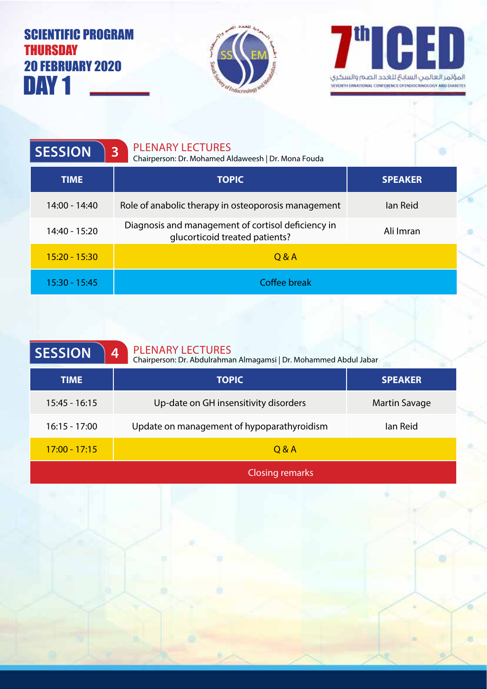## $DM1$   $-$ SCIENTIFIC PROGRAM **THURSDAY** 20 FEBRUARY 2020





| <b>SESSION</b>  | <b>PLENARY LECTURES</b><br>$\overline{3}$<br>Chairperson: Dr. Mohamed Aldaweesh   Dr. Mona Fouda |                |
|-----------------|--------------------------------------------------------------------------------------------------|----------------|
| <b>TIME</b>     | <b>TOPIC</b>                                                                                     | <b>SPEAKER</b> |
| 14:00 - 14:40   | Role of anabolic therapy in osteoporosis management                                              | lan Reid       |
| 14:40 - 15:20   | Diagnosis and management of cortisol deficiency in<br>qlucorticoid treated patients?             | Ali Imran      |
| $15:20 - 15:30$ | 0 & A                                                                                            |                |
| 15:30 - 15:45   | <b>Coffee break</b>                                                                              |                |

| <b>PLENARY LECTURES</b><br><b>SESSION</b><br>4<br>Chairperson: Dr. Abdulrahman Almagamsi   Dr. Mohammed Abdul Jabar |                                            |                      |
|---------------------------------------------------------------------------------------------------------------------|--------------------------------------------|----------------------|
| <b>TIME</b>                                                                                                         | <b>TOPIC</b>                               | <b>SPEAKER</b>       |
| $15:45 - 16:15$                                                                                                     | Up-date on GH insensitivity disorders      | <b>Martin Savage</b> |
| $16:15 - 17:00$                                                                                                     | Update on management of hypoparathyroidism | lan Reid             |
| $17:00 - 17:15$                                                                                                     | Q & A                                      |                      |
|                                                                                                                     |                                            |                      |

Closing remarks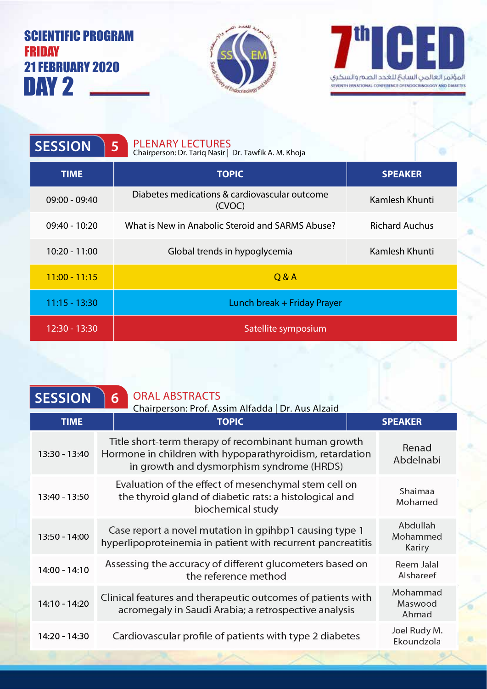## DAY 2 . SCIENTIFIC PROGRAM **FRIDAY** 21 FEBRUARY 2020





| <b>SESSION</b>  | <b>PLENARY LECTURES</b><br>5<br>Chairperson: Dr. Tariq Nasir   Dr. Tawfik A. M. Khoja |                       |
|-----------------|---------------------------------------------------------------------------------------|-----------------------|
| <b>TIME</b>     | <b>TOPIC</b>                                                                          | <b>SPEAKER</b>        |
| $09:00 - 09:40$ | Diabetes medications & cardiovascular outcome<br>(CVOC)                               | Kamlesh Khunti        |
| $09:40 - 10:20$ | What is New in Anabolic Steroid and SARMS Abuse?                                      | <b>Richard Auchus</b> |
| $10:20 - 11:00$ | Global trends in hypoglycemia                                                         | Kamlesh Khunti        |
| $11:00 - 11:15$ | Q & A                                                                                 |                       |
| $11:15 - 13:30$ | Lunch break + Friday Prayer                                                           |                       |
| 12:30 - 13:30   | Satellite symposium                                                                   |                       |

| <b>ORAL ABSTRACTS</b><br>$\overline{6}$                                                                                                                       |                                                   |
|---------------------------------------------------------------------------------------------------------------------------------------------------------------|---------------------------------------------------|
| <b>TOPIC</b>                                                                                                                                                  | <b>SPEAKER</b>                                    |
| Title short-term therapy of recombinant human growth<br>Hormone in children with hypoparathyroidism, retardation<br>in growth and dysmorphism syndrome (HRDS) | Renad<br>Abdelnabi                                |
| Evaluation of the effect of mesenchymal stem cell on<br>the thyroid gland of diabetic rats: a histological and<br>biochemical study                           | Shaimaa<br>Mohamed                                |
| Case report a novel mutation in gpihbp1 causing type 1<br>hyperlipoproteinemia in patient with recurrent pancreatitis                                         | Abdullah<br>Mohammed<br>Kariry                    |
| Assessing the accuracy of different glucometers based on<br>the reference method                                                                              | Reem Jalal<br>Alshareef                           |
| Clinical features and therapeutic outcomes of patients with<br>acromegaly in Saudi Arabia; a retrospective analysis                                           | Mohammad<br>Maswood<br>Ahmad                      |
| Cardiovascular profile of patients with type 2 diabetes                                                                                                       | Joel Rudy M.<br>Ekoundzola                        |
|                                                                                                                                                               | Chairperson: Prof. Assim Alfadda   Dr. Aus Alzaid |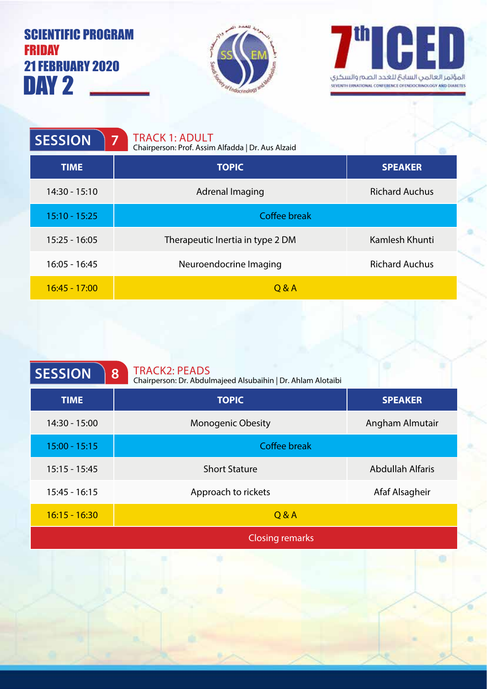## DAY 2 SCIENTIFIC PROGRAM FRIDAY 21 FEBRUARY 2020





| <b>SESSION</b><br>7 | <b>TRACK 1: ADULT</b><br>Chairperson: Prof. Assim Alfadda   Dr. Aus Alzaid |                       |
|---------------------|----------------------------------------------------------------------------|-----------------------|
| <b>TIME</b>         | <b>TOPIC</b>                                                               | <b>SPEAKER</b>        |
| $14:30 - 15:10$     | Adrenal Imaging                                                            | <b>Richard Auchus</b> |
| $15:10 - 15:25$     | Coffee break                                                               |                       |
| $15:25 - 16:05$     | Therapeutic Inertia in type 2 DM                                           | Kamlesh Khunti        |
| $16:05 - 16:45$     | Neuroendocrine Imaging                                                     | <b>Richard Auchus</b> |
| $16:45 - 17:00$     | Q & A                                                                      |                       |

| <b>SESSION</b>  | <b>TRACK2: PEADS</b><br>8<br>Chairperson: Dr. Abdulmajeed Alsubaihin   Dr. Ahlam Alotaibi |                         |
|-----------------|-------------------------------------------------------------------------------------------|-------------------------|
| <b>TIME</b>     | <b>TOPIC</b>                                                                              | <b>SPEAKER</b>          |
| 14:30 - 15:00   | <b>Monogenic Obesity</b>                                                                  | Angham Almutair         |
| $15:00 - 15:15$ | <b>Coffee break</b>                                                                       |                         |
| $15:15 - 15:45$ | <b>Short Stature</b>                                                                      | <b>Abdullah Alfaris</b> |
| $15:45 - 16:15$ | Approach to rickets                                                                       | Afaf Alsagheir          |
| $16:15 - 16:30$ | Q & A                                                                                     |                         |
|                 | <b>Closing remarks</b>                                                                    |                         |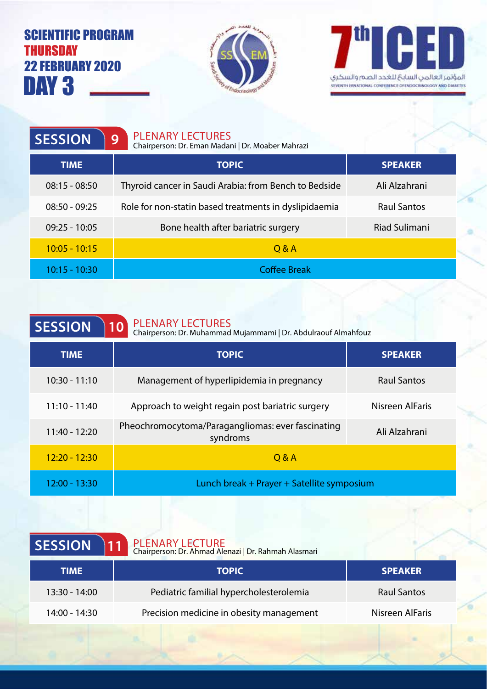## DAY 3 SCIENTIFIC PROGRAM **THURSDAY** 22 FEBRUARY 2020





| <b>SESSION</b>  | <b>PLENARY LECTURES</b><br>9<br>Chairperson: Dr. Eman Madani   Dr. Moaber Mahrazi |                      |
|-----------------|-----------------------------------------------------------------------------------|----------------------|
| <b>TIME</b>     | <b>TOPIC</b>                                                                      | <b>SPEAKER</b>       |
| $08:15 - 08:50$ | Thyroid cancer in Saudi Arabia: from Bench to Bedside                             | Ali Alzahrani        |
| $08:50 - 09:25$ | Role for non-statin based treatments in dyslipidaemia                             | <b>Raul Santos</b>   |
| $09:25 - 10:05$ | Bone health after bariatric surgery                                               | <b>Riad Sulimani</b> |
| $10:05 - 10:15$ | $Q$ &A                                                                            |                      |
| $10:15 - 10:30$ | <b>Coffee Break</b>                                                               |                      |

| <b>SESSION</b> | 10 | <b>PLENARY LECTURES</b>   |
|----------------|----|---------------------------|
|                |    | Chairnerson: Dr. Muhammad |

Chairperson: Dr. Muhammad Mujammami | Dr. Abdulraouf Almahfouz

| <b>TIME</b>     | <b>TOPIC</b>                                                                   | <b>SPEAKER</b>     |
|-----------------|--------------------------------------------------------------------------------|--------------------|
| $10:30 - 11:10$ | Management of hyperlipidemia in pregnancy                                      | <b>Raul Santos</b> |
| $11:10 - 11:40$ | Approach to weight regain post bariatric surgery                               | Nisreen AlFaris    |
| $11:40 - 12:20$ | Pheochromocytoma/Paragangliomas: ever fascinating<br>Ali Alzahrani<br>syndroms |                    |
| $12:20 - 12:30$ | O & A                                                                          |                    |
| 12:00 - 13:30   | Lunch break + Prayer + Satellite symposium                                     |                    |

| PLENARY LECTURE<br>Chairperson: Dr. Ahmad Alenazi   Dr. Rahmah Alasmari |                    |
|-------------------------------------------------------------------------|--------------------|
| <b>TOPIC</b>                                                            | <b>SPEAKER</b>     |
| Pediatric familial hypercholesterolemia                                 | <b>Raul Santos</b> |
| Precision medicine in obesity management                                | Nisreen AlFaris    |
|                                                                         | 11                 |